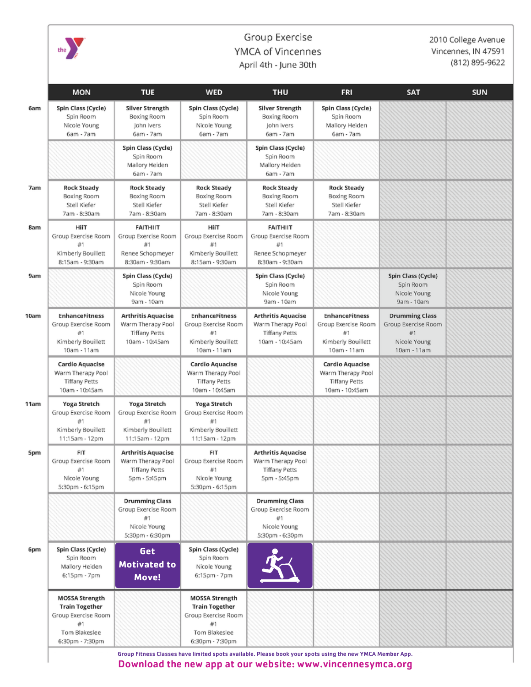

## Group Exercise YMCA of Vincennes April 4th - June 30th

2010 College Avenue Vincennes, IN 47591 (812) 895-9622

|            | <b>MON</b>                                                                                                      | <b>TUE</b>                                                                               | <b>WED</b>                                                                                                      | <b>THU</b>                                                                               | <b>FRI</b>                                                                              | <b>SAT</b>                                                                        | <b>SUN</b> |
|------------|-----------------------------------------------------------------------------------------------------------------|------------------------------------------------------------------------------------------|-----------------------------------------------------------------------------------------------------------------|------------------------------------------------------------------------------------------|-----------------------------------------------------------------------------------------|-----------------------------------------------------------------------------------|------------|
| 6am        | Spin Class (Cycle)<br>Spin Room<br>Nicole Young<br>6am - 7am                                                    | <b>Silver Strength</b><br>Boxing Room<br>John Ivers<br>6am - 7am                         | Spin Class (Cycle)<br>Spin Room<br>Nicole Young<br>6am - 7am                                                    | <b>Silver Strength</b><br>Boxing Room<br>John Ivers<br>6am - 7am                         | Spin Class (Cycle)<br>Spin Room<br>Mallory Heiden<br>6am - 7am                          |                                                                                   |            |
|            |                                                                                                                 | Spin Class (Cycle)<br>Spin Room<br>Mallory Heiden<br>6am - 7am                           |                                                                                                                 | Spin Class (Cycle)<br>Spin Room<br>Mallory Heiden<br>$6am - 7am$                         |                                                                                         |                                                                                   |            |
| 7am        | <b>Rock Steady</b><br>Boxing Room<br>Stell Kiefer<br>7am - 8:30am                                               | <b>Rock Steady</b><br>Boxing Room<br>Stell Kiefer<br>7am - 8:30am                        | <b>Rock Steady</b><br>Boxing Room<br>Stell Kiefer<br>7am - 8:30am                                               | <b>Rock Steady</b><br>Boxing Room<br>Stell Kiefer<br>7am - 8:30am                        | <b>Rock Steady</b><br>Boxing Room<br>Stell Kiefer<br>7am - 8:30am                       |                                                                                   |            |
| 8am        | HiiT<br>Group Exercise Room<br>#1<br>Kimberly Bouillett<br>8:15am - 9:30am                                      | <b>FAITHIIT</b><br>Group Exercise Room<br>Renee Schopmeyer<br>8:30am - 9:30am            | HiiT<br>Group Exercise Room<br>#1<br>Kimberly Bouillett<br>8:15am - 9:30am                                      | <b>FAITHIIT</b><br>Group Exercise Room<br>Renee Schopmeyer<br>8:30am - 9:30am            |                                                                                         |                                                                                   |            |
| 9am        |                                                                                                                 | Spin Class (Cycle)<br>Spin Room<br>Nicole Young<br>9am - 10am                            |                                                                                                                 | Spin Class (Cycle)<br>Spin Room<br>Nicole Young<br>9am - 10am                            |                                                                                         | Spin Class (Cycle)<br>Spin Room<br>Nicole Young<br>9am - 10am                     |            |
| 10am       | <b>EnhanceFitness</b><br>Group Exercise Room<br>#1<br>Kimberly Bouillett<br>10am - 11am                         | <b>Arthritis Aquacise</b><br>Warm Therapy Pool<br><b>Tiffany Petts</b><br>10am - 10:45am | <b>EnhanceFitness</b><br>Group Exercise Room<br>#1<br>Kimberly Bouillett<br>10am - 11am                         | <b>Arthritis Aquacise</b><br>Warm Therapy Pool<br><b>Tiffany Petts</b><br>10am - 10:45am | <b>EnhanceFitness</b><br>Group Exercise Room<br>#1<br>Kimberly Bouillett<br>10am - 11am | <b>Drumming Class</b><br>Group Exercise Room<br>#1<br>Nicole Young<br>10am - 11am |            |
|            | Cardio Aquacise<br>Warm Therapy Pool<br><b>Tiffany Petts</b><br>10am - 10:45am                                  |                                                                                          | <b>Cardio Aquacise</b><br>Warm Therapy Pool<br><b>Tiffany Petts</b><br>10am - 10:45am                           |                                                                                          | Cardio Aquacise<br>Warm Therapy Pool<br><b>Tiffany Petts</b><br>10am - 10:45am          |                                                                                   |            |
| 11am       | Yoga Stretch<br>Group Exercise Room<br>#1<br>Kimberly Bouillett<br>11:15am - 12pm                               | Yoga Stretch<br>Group Exercise Room<br>#1<br>Kimberly Bouillett<br>11:15am - 12pm        | Yoga Stretch<br>Group Exercise Room<br>#1<br>Kimberly Bouillett<br>11:15am - 12pm                               |                                                                                          |                                                                                         |                                                                                   |            |
| <b>Spm</b> | FIT<br>Group Exercise Room<br>#1<br>Nicole Young<br>5:30pm - 6:15pm                                             | <b>Arthritis Aquacise</b><br>Warm Therapy Pool<br><b>Tiffany Petts</b><br>5pm - 5:45pm   | FIT<br>Group Exercise Room<br>#1<br>Nicole Young<br>5:30pm - 6:15pm                                             | <b>Arthritis Aquacise</b><br>Warm Therapy Pool<br>Tiffany Petts<br>5pm - 5:45pm          |                                                                                         |                                                                                   |            |
|            |                                                                                                                 | <b>Drumming Class</b><br>Group Exercise Room<br>#1<br>Nicole Young<br>5:30pm - 6:30pm    |                                                                                                                 | <b>Drumming Class</b><br>Group Exercise Room<br>#1<br>Nicole Young<br>5:30pm - 6:30pm    |                                                                                         |                                                                                   |            |
| 6pm        | Spin Class (Cycle)<br>Spin Room<br>Mallory Heiden<br>6:15pm - 7pm                                               | Get<br><b>Motivated to</b><br>Move!                                                      | Spin Class (Cycle)<br>Spin Room<br>Nicole Young<br>6:15pm - 7pm                                                 |                                                                                          |                                                                                         |                                                                                   |            |
|            | <b>MOSSA Strength</b><br><b>Train Together</b><br>Group Exercise Room<br>#1<br>Tom Blakeslee<br>6:30pm - 7:30pm |                                                                                          | <b>MOSSA Strength</b><br><b>Train Together</b><br>Group Exercise Room<br>#1<br>Tom Blakeslee<br>6:30pm - 7:30pm |                                                                                          |                                                                                         |                                                                                   |            |

Download the new app at our website: www.vincennesymca.org